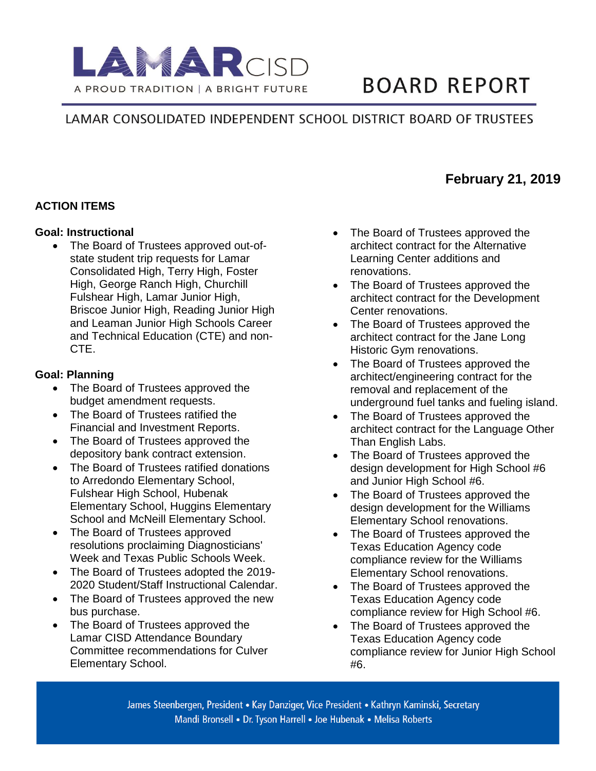

# **BOARD REPORT**

**February 21, 2019**

# LAMAR CONSOLIDATED INDEPENDENT SCHOOL DISTRICT BOARD OF TRUSTEES

### **ACTION ITEMS**

#### **Goal: Instructional**

• The Board of Trustees approved out-ofstate student trip requests for Lamar Consolidated High, Terry High, Foster High, George Ranch High, Churchill Fulshear High, Lamar Junior High, Briscoe Junior High, Reading Junior High and Leaman Junior High Schools Career and Technical Education (CTE) and non-CTE.

#### **Goal: Planning**

- The Board of Trustees approved the budget amendment requests.
- The Board of Trustees ratified the Financial and Investment Reports.
- The Board of Trustees approved the depository bank contract extension.
- The Board of Trustees ratified donations to Arredondo Elementary School, Fulshear High School, Hubenak Elementary School, Huggins Elementary School and McNeill Elementary School.
- The Board of Trustees approved resolutions proclaiming Diagnosticians' Week and Texas Public Schools Week.
- The Board of Trustees adopted the 2019- 2020 Student/Staff Instructional Calendar.
- The Board of Trustees approved the new bus purchase.
- The Board of Trustees approved the Lamar CISD Attendance Boundary Committee recommendations for Culver Elementary School.
- The Board of Trustees approved the architect contract for the Alternative Learning Center additions and renovations.
- The Board of Trustees approved the architect contract for the Development Center renovations.
- The Board of Trustees approved the architect contract for the Jane Long Historic Gym renovations.
- The Board of Trustees approved the architect/engineering contract for the removal and replacement of the underground fuel tanks and fueling island.
- The Board of Trustees approved the architect contract for the Language Other Than English Labs.
- The Board of Trustees approved the design development for High School #6 and Junior High School #6.
- The Board of Trustees approved the design development for the Williams Elementary School renovations.
- The Board of Trustees approved the Texas Education Agency code compliance review for the Williams Elementary School renovations.
- The Board of Trustees approved the Texas Education Agency code compliance review for High School #6.
- The Board of Trustees approved the Texas Education Agency code compliance review for Junior High School #6.

James Steenbergen, President • Kay Danziger, Vice President • Kathryn Kaminski, Secretary Mandi Bronsell • Dr. Tyson Harrell • Joe Hubenak • Melisa Roberts